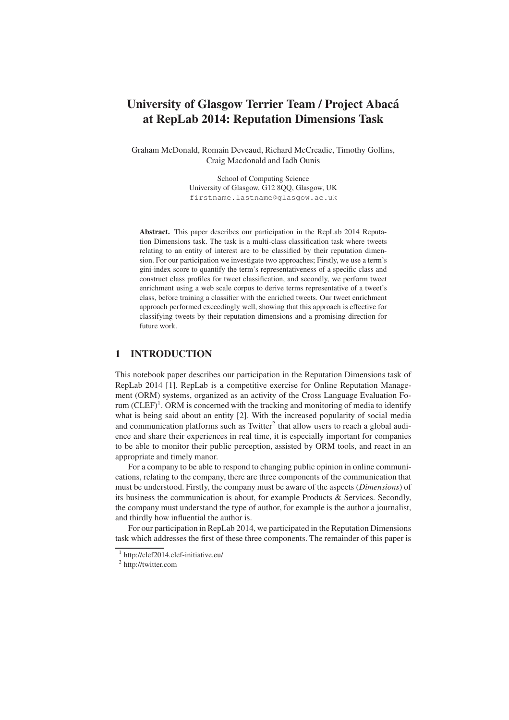# University of Glasgow Terrier Team / Project Abaca´ at RepLab 2014: Reputation Dimensions Task

Graham McDonald, Romain Deveaud, Richard McCreadie, Timothy Gollins, Craig Macdonald and Iadh Ounis

> School of Computing Science University of Glasgow, G12 8QQ, Glasgow, UK firstname.lastname@glasgow.ac.uk

Abstract. This paper describes our participation in the RepLab 2014 Reputation Dimensions task. The task is a multi-class classification task where tweets relating to an entity of interest are to be classified by their reputation dimension. For our participation we investigate two approaches; Firstly, we use a term's gini-index score to quantify the term's representativeness of a specific class and construct class profiles for tweet classification, and secondly, we perform tweet enrichment using a web scale corpus to derive terms representative of a tweet's class, before training a classifier with the enriched tweets. Our tweet enrichment approach performed exceedingly well, showing that this approach is effective for classifying tweets by their reputation dimensions and a promising direction for future work.

## 1 INTRODUCTION

This notebook paper describes our participation in the Reputation Dimensions task of RepLab 2014 [1]. RepLab is a competitive exercise for Online Reputation Management (ORM) systems, organized as an activity of the Cross Language Evaluation Forum (CLEF)<sup>1</sup>. ORM is concerned with the tracking and monitoring of media to identify what is being said about an entity [2]. With the increased popularity of social media and communication platforms such as Twitter<sup>2</sup> that allow users to reach a global audience and share their experiences in real time, it is especially important for companies to be able to monitor their public perception, assisted by ORM tools, and react in an appropriate and timely manor.

For a company to be able to respond to changing public opinion in online communications, relating to the company, there are three components of the communication that must be understood. Firstly, the company must be aware of the aspects (*Dimensions*) of its business the communication is about, for example Products & Services. Secondly, the company must understand the type of author, for example is the author a journalist, and thirdly how influential the author is.

For our participation in RepLab 2014, we participated in the Reputation Dimensions task which addresses the first of these three components. The remainder of this paper is

<sup>1</sup> http://clef2014.clef-initiative.eu/

<sup>2</sup> http://twitter.com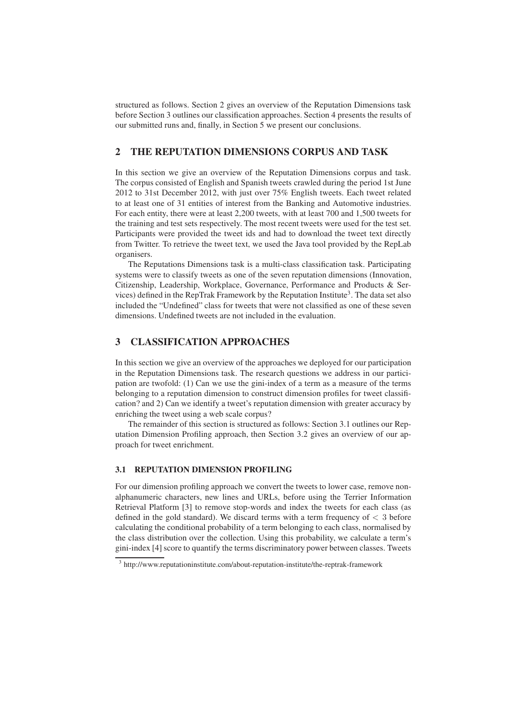structured as follows. Section 2 gives an overview of the Reputation Dimensions task before Section 3 outlines our classification approaches. Section 4 presents the results of our submitted runs and, finally, in Section 5 we present our conclusions.

# 2 THE REPUTATION DIMENSIONS CORPUS AND TASK

In this section we give an overview of the Reputation Dimensions corpus and task. The corpus consisted of English and Spanish tweets crawled during the period 1st June 2012 to 31st December 2012, with just over 75% English tweets. Each tweet related to at least one of 31 entities of interest from the Banking and Automotive industries. For each entity, there were at least 2,200 tweets, with at least 700 and 1,500 tweets for the training and test sets respectively. The most recent tweets were used for the test set. Participants were provided the tweet ids and had to download the tweet text directly from Twitter. To retrieve the tweet text, we used the Java tool provided by the RepLab organisers.

The Reputations Dimensions task is a multi-class classification task. Participating systems were to classify tweets as one of the seven reputation dimensions (Innovation, Citizenship, Leadership, Workplace, Governance, Performance and Products & Services) defined in the RepTrak Framework by the Reputation Institute<sup>3</sup>. The data set also included the "Undefined" class for tweets that were not classified as one of these seven dimensions. Undefined tweets are not included in the evaluation.

# 3 CLASSIFICATION APPROACHES

In this section we give an overview of the approaches we deployed for our participation in the Reputation Dimensions task. The research questions we address in our participation are twofold: (1) Can we use the gini-index of a term as a measure of the terms belonging to a reputation dimension to construct dimension profiles for tweet classification? and 2) Can we identify a tweet's reputation dimension with greater accuracy by enriching the tweet using a web scale corpus?

The remainder of this section is structured as follows: Section 3.1 outlines our Reputation Dimension Profiling approach, then Section 3.2 gives an overview of our approach for tweet enrichment.

#### 3.1 REPUTATION DIMENSION PROFILING

For our dimension profiling approach we convert the tweets to lower case, remove nonalphanumeric characters, new lines and URLs, before using the Terrier Information Retrieval Platform [3] to remove stop-words and index the tweets for each class (as defined in the gold standard). We discard terms with a term frequency of  $\lt$  3 before calculating the conditional probability of a term belonging to each class, normalised by the class distribution over the collection. Using this probability, we calculate a term's gini-index [4] score to quantify the terms discriminatory power between classes. Tweets

<sup>&</sup>lt;sup>3</sup> http://www.reputationinstitute.com/about-reputation-institute/the-reptrak-framework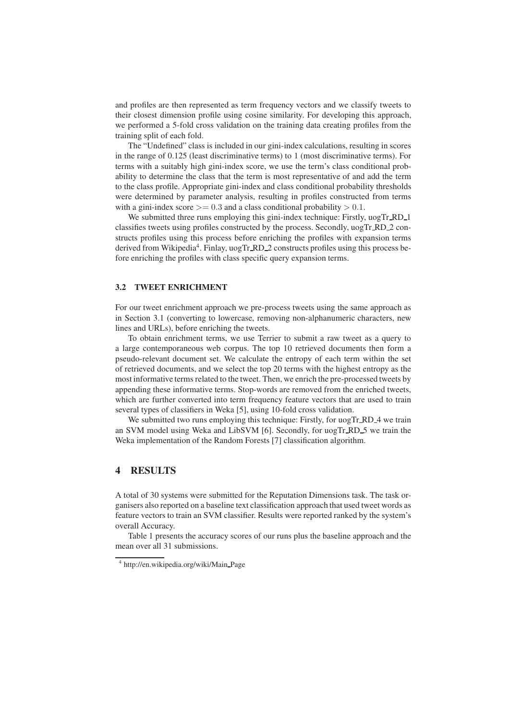and profiles are then represented as term frequency vectors and we classify tweets to their closest dimension profile using cosine similarity. For developing this approach, we performed a 5-fold cross validation on the training data creating profiles from the training split of each fold.

The "Undefined" class is included in our gini-index calculations, resulting in scores in the range of 0.125 (least discriminative terms) to 1 (most discriminative terms). For terms with a suitably high gini-index score, we use the term's class conditional probability to determine the class that the term is most representative of and add the term to the class profile. Appropriate gini-index and class conditional probability thresholds were determined by parameter analysis, resulting in profiles constructed from terms with a gini-index score  $\geq$  0.3 and a class conditional probability  $> 0.1$ .

We submitted three runs employing this gini-index technique: Firstly, uogTr\_RD\_1 classifies tweets using profiles constructed by the process. Secondly, uogTr\_RD\_2 constructs profiles using this process before enriching the profiles with expansion terms derived from Wikipedia<sup>4</sup>. Finlay, uogTr\_RD\_2 constructs profiles using this process before enriching the profiles with class specific query expansion terms.

#### 3.2 TWEET ENRICHMENT

For our tweet enrichment approach we pre-process tweets using the same approach as in Section 3.1 (converting to lowercase, removing non-alphanumeric characters, new lines and URLs), before enriching the tweets.

To obtain enrichment terms, we use Terrier to submit a raw tweet as a query to a large contemporaneous web corpus. The top 10 retrieved documents then form a pseudo-relevant document set. We calculate the entropy of each term within the set of retrieved documents, and we select the top 20 terms with the highest entropy as the most informative terms related to the tweet. Then, we enrich the pre-processed tweets by appending these informative terms. Stop-words are removed from the enriched tweets, which are further converted into term frequency feature vectors that are used to train several types of classifiers in Weka [5], using 10-fold cross validation.

We submitted two runs employing this technique: Firstly, for uogTr<sub>-RD</sub>-4 we train an SVM model using Weka and LibSVM [6]. Secondly, for uogTr RD 5 we train the Weka implementation of the Random Forests [7] classification algorithm.

### 4 RESULTS

A total of 30 systems were submitted for the Reputation Dimensions task. The task organisers also reported on a baseline text classification approach that used tweet words as feature vectors to train an SVM classifier. Results were reported ranked by the system's overall Accuracy.

Table 1 presents the accuracy scores of our runs plus the baseline approach and the mean over all 31 submissions.

<sup>4</sup> http://en.wikipedia.org/wiki/Main Page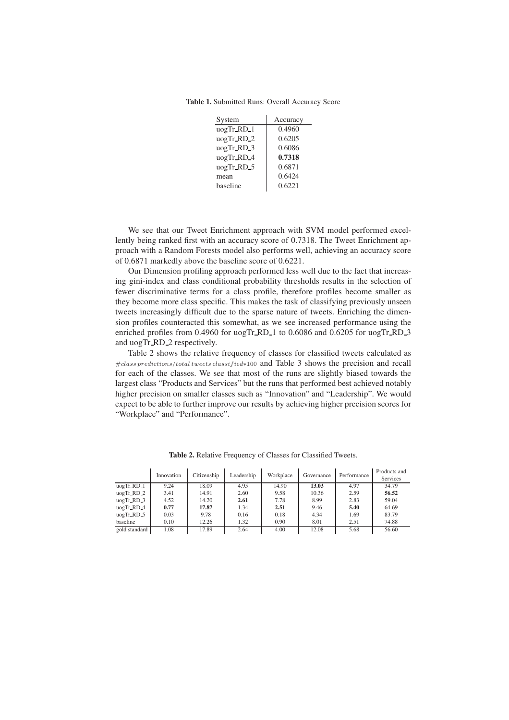Table 1. Submitted Runs: Overall Accuracy Score

| System          | Accuracy |
|-----------------|----------|
| $\log Tr_R D_1$ | 0.4960   |
| uogTr_RD_2      | 0.6205   |
| uogTr_RD_3      | 0.6086   |
| uogTr_RD_4      | 0.7318   |
| uogTr_RD_5      | 0.6871   |
| mean            | 0.6424   |
| baseline        | 0.6221   |

We see that our Tweet Enrichment approach with SVM model performed excellently being ranked first with an accuracy score of 0.7318. The Tweet Enrichment approach with a Random Forests model also performs well, achieving an accuracy score of 0.6871 markedly above the baseline score of 0.6221.

Our Dimension profiling approach performed less well due to the fact that increasing gini-index and class conditional probability thresholds results in the selection of fewer discriminative terms for a class profile, therefore profiles become smaller as they become more class specific. This makes the task of classifying previously unseen tweets increasingly difficult due to the sparse nature of tweets. Enriching the dimension profiles counteracted this somewhat, as we see increased performance using the enriched profiles from 0.4960 for uogTr\_RD\_1 to 0.6086 and 0.6205 for uogTr\_RD\_3 and uogTr RD 2 respectively.

Table 2 shows the relative frequency of classes for classified tweets calculated as #class predictions/total tweets classif ied∗<sup>100</sup> and Table 3 shows the precision and recall for each of the classes. We see that most of the runs are slightly biased towards the largest class "Products and Services" but the runs that performed best achieved notably higher precision on smaller classes such as "Innovation" and "Leadership". We would expect to be able to further improve our results by achieving higher precision scores for "Workplace" and "Performance".

|                                               | Innovation | Citizenship | Leadership | Workplace | Governance | Performance | Products and<br>Services |
|-----------------------------------------------|------------|-------------|------------|-----------|------------|-------------|--------------------------|
| uogTr_RD_1                                    | 9.24       | 18.09       | 4.95       | 14.90     | 13.03      | 4.97        | 34.79                    |
| $\mu$ og $\text{Tr}$ <sub>RD</sub> $\text{2}$ | 3.41       | 14.91       | 2.60       | 9.58      | 10.36      | 2.59        | 56.52                    |
| $uogTr_R$ RD $-3$                             | 4.52       | 14.20       | 2.61       | 7.78      | 8.99       | 2.83        | 59.04                    |
| uogTr_RD_4                                    | 0.77       | 17.87       | 1.34       | 2.51      | 9.46       | 5.40        | 64.69                    |
| $uogTr_RD_5$                                  | 0.03       | 9.78        | 0.16       | 0.18      | 4.34       | 1.69        | 83.79                    |
| baseline                                      | 0.10       | 12.26       | 1.32       | 0.90      | 8.01       | 2.51        | 74.88                    |
| gold standard                                 | 1.08       | 17.89       | 2.64       | 4.00      | 12.08      | 5.68        | 56.60                    |

Table 2. Relative Frequency of Classes for Classified Tweets.